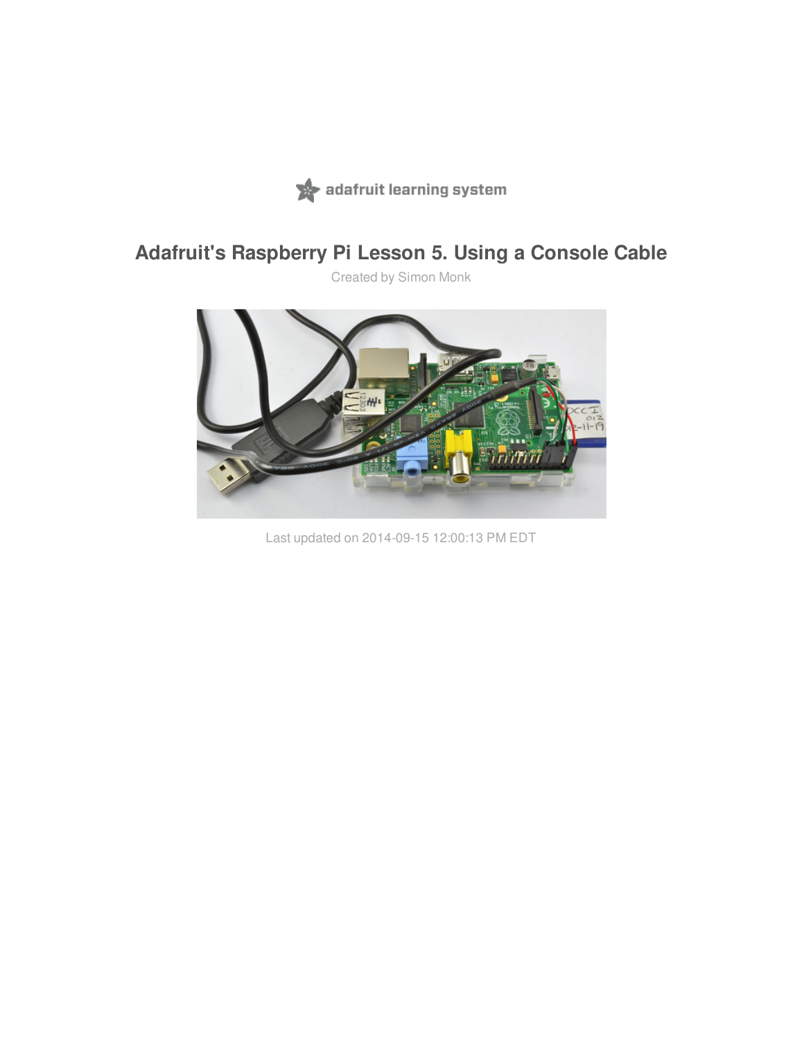

### **Adafruit's Raspberry Pi Lesson 5. Using a Console Cable**

Created by Simon Monk



Last updated on 2014-09-15 12:00:13 PM EDT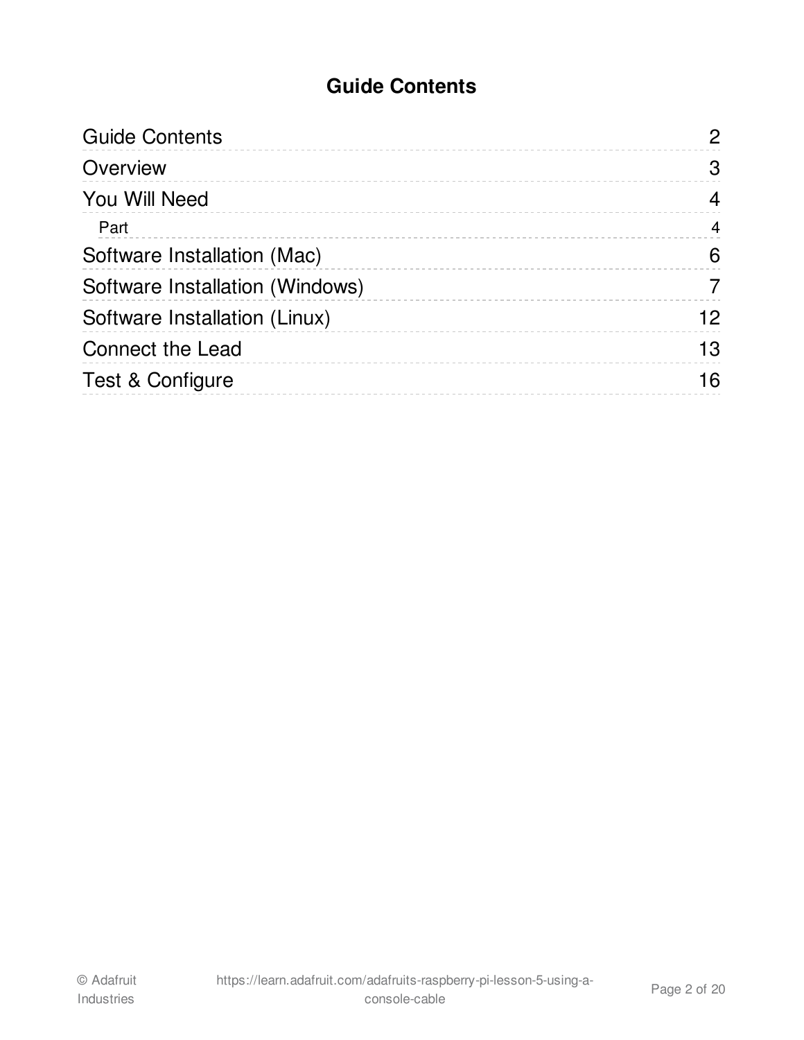### **Guide Contents**

<span id="page-1-0"></span>

| <b>Guide Contents</b>           |                |
|---------------------------------|----------------|
| Overview                        | 3              |
| You Will Need                   | 4              |
| Part                            | $\overline{4}$ |
| Software Installation (Mac)     | 6              |
| Software Installation (Windows) |                |
| Software Installation (Linux)   | 12             |
| <b>Connect the Lead</b>         | 13             |
| Test & Configure                | 16             |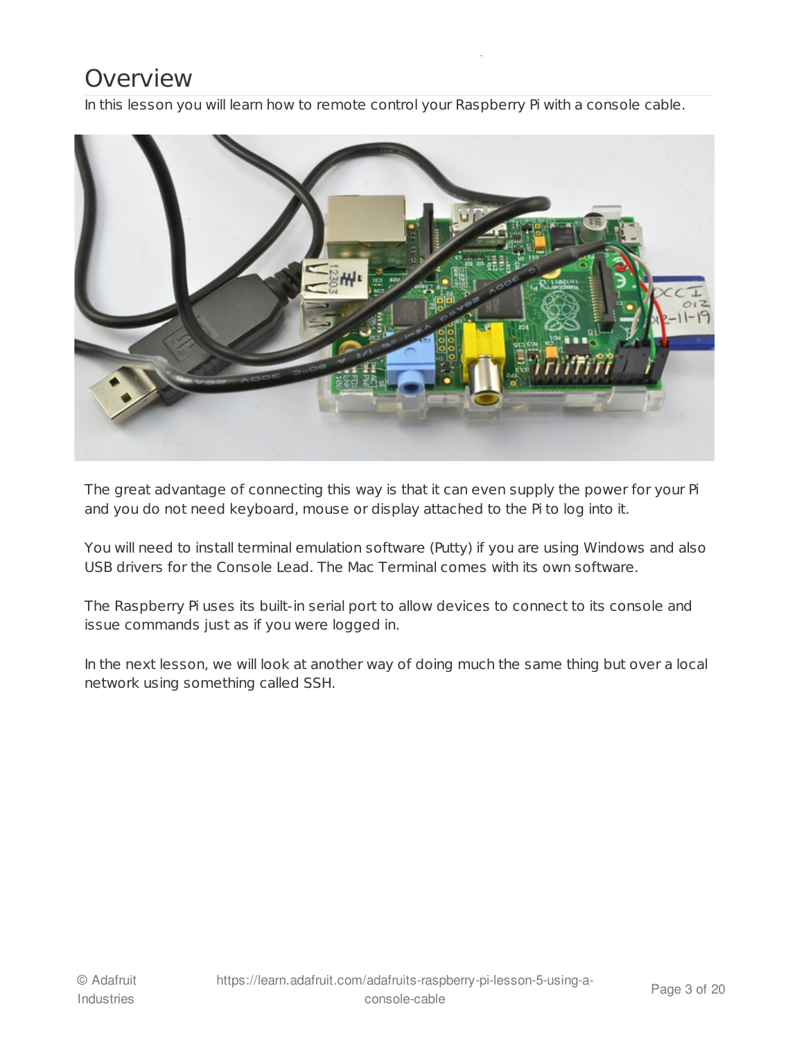## <span id="page-2-0"></span>**Overview**

In this lesson you will learn how to remote control your Raspberry Pi with a console cable.



The great advantage of connecting this way is that it can even supply the power for your Pi and you do not need keyboard, mouse or display attached to the Pi to log into it.

You will need to install terminal emulation software (Putty) if you are using Windows and also USB drivers for the Console Lead. The Mac Terminal comes with its own software.

The Raspberry Pi uses its built-in serial port to allow devices to connect to its console and issue commands just as if you were logged in.

In the next lesson, we will look at another way of doing much the same thing but over a local network using something called SSH.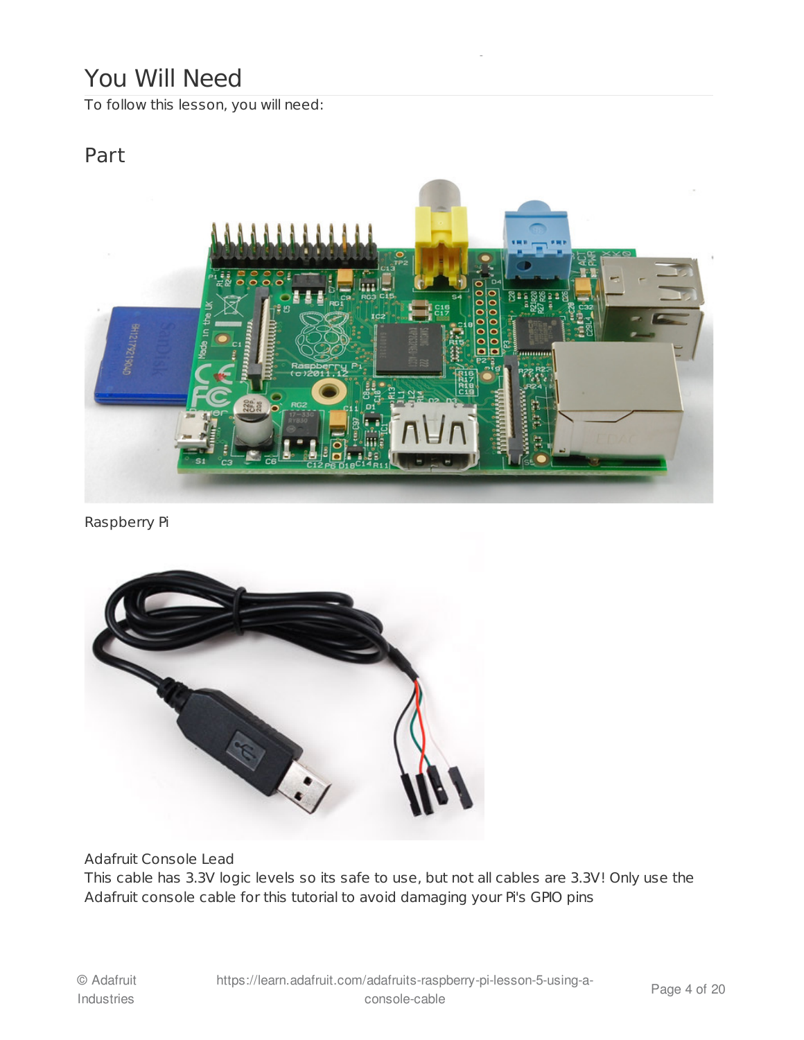# <span id="page-3-0"></span>You Will Need

To follow this lesson, you will need:

### <span id="page-3-1"></span>Part



Raspberry Pi



### Adafruit Console Lead

This cable has 3.3V logic levels so its safe to use, but not all cables are 3.3V! Only use the Adafruit console cable for this tutorial to avoid damaging your Pi's GPIO pins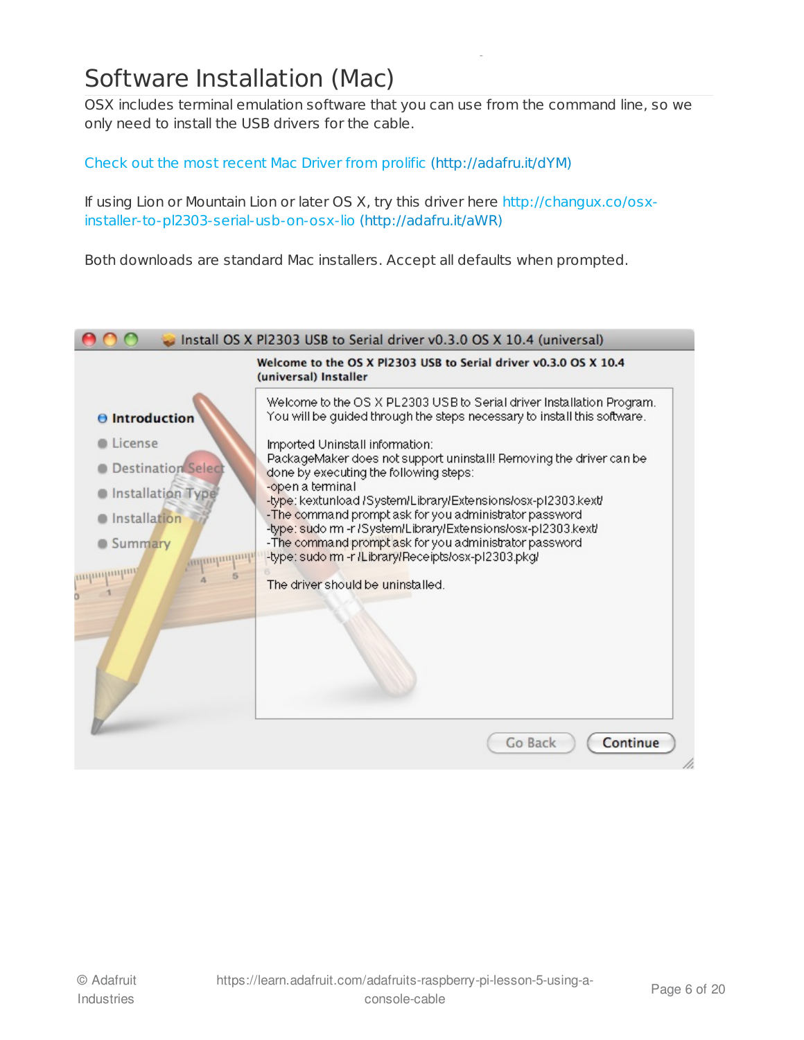# <span id="page-5-0"></span>Software Installation (Mac)

OSX includes terminal emulation software that you can use from the command line, so we only need to install the USB drivers for the cable.

### Check out the most [recent](http://www.adafruit.com/downloads/md_PL2303_MacOSX-10_6up_v1_5_1.zip) Mac Driver from prolific (http://adafru.it/dYM)

If using Lion or Mountain Lion or later OS X, try this driver here http://changux.co/osx[installer-to-pl2303-serial-usb-on-osx-lio](http://changux.co/osx-installer-to-pl2303-serial-usb-on-osx-lio) (http://adafru.it/aWR)

Both downloads are standard Mac installers. Accept all defaults when prompted.

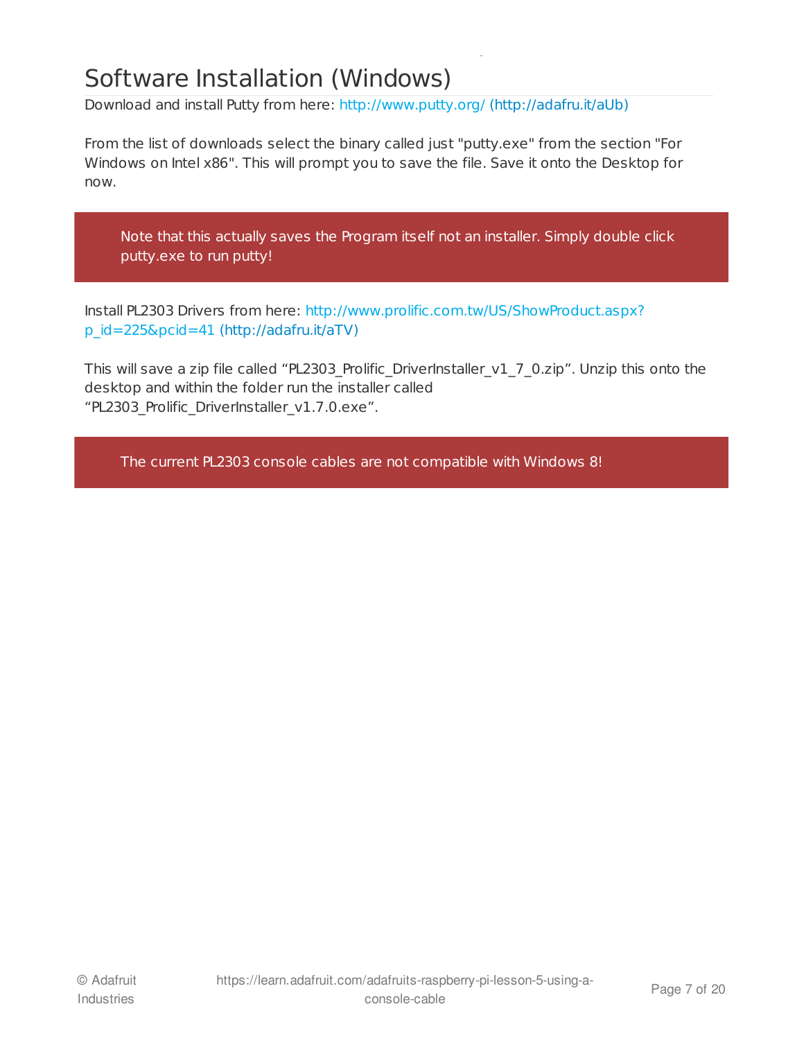# <span id="page-6-0"></span>Software Installation (Windows)

Download and install Putty from here: <http://www.putty.org/> (http://adafru.it/aUb)

From the list of downloads select the binary called just "putty.exe" from the section "For Windows on Intel x86". This will prompt you to save the file. Save it onto the Desktop for now.

Note that this actually saves the Program itself not an installer. Simply double click putty.exe to run putty!

Install PL2303 Drivers from here: [http://www.prolific.com.tw/US/ShowProduct.aspx?](http://www.prolific.com.tw/US/ShowProduct.aspx?p_id=225&pcid=41) p\_id=225&pcid=41 (http://adafru.it/aTV)

This will save a zip file called "PL2303\_Prolific\_DriverInstaller\_v1\_7\_0.zip". Unzip this onto the desktop and within the folder run the installer called "PL2303\_Prolific\_DriverInstaller\_v1.7.0.exe".

The current PL2303 console cables are not compatible with Windows 8!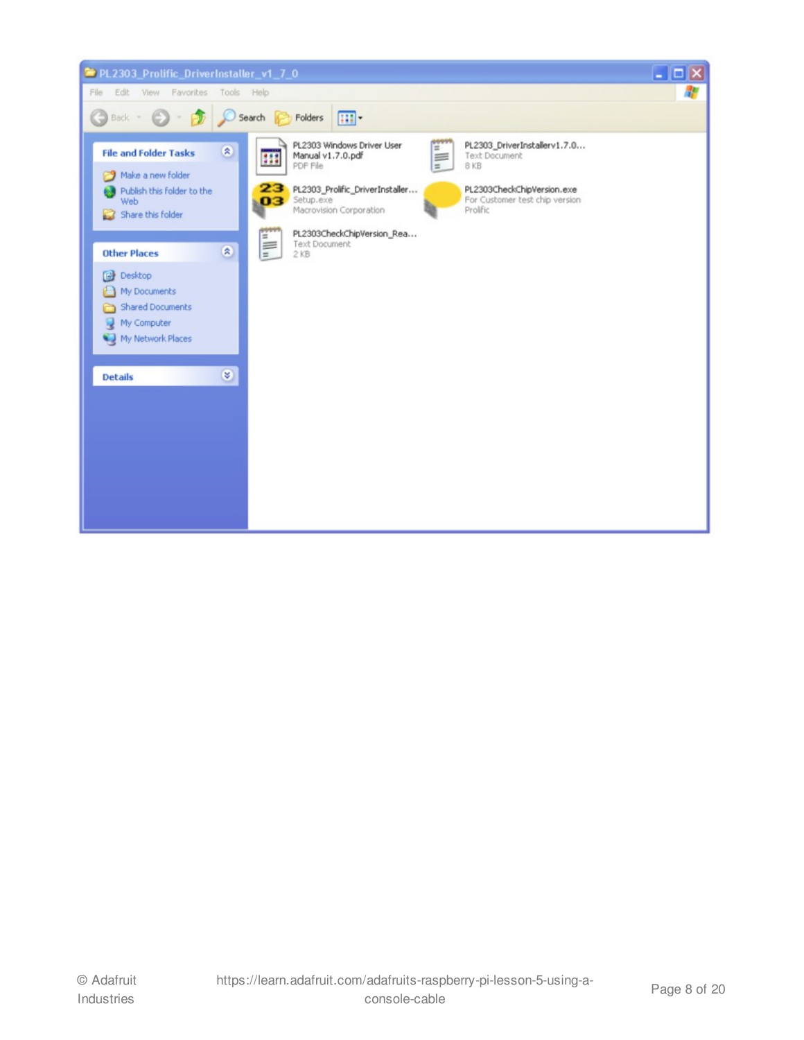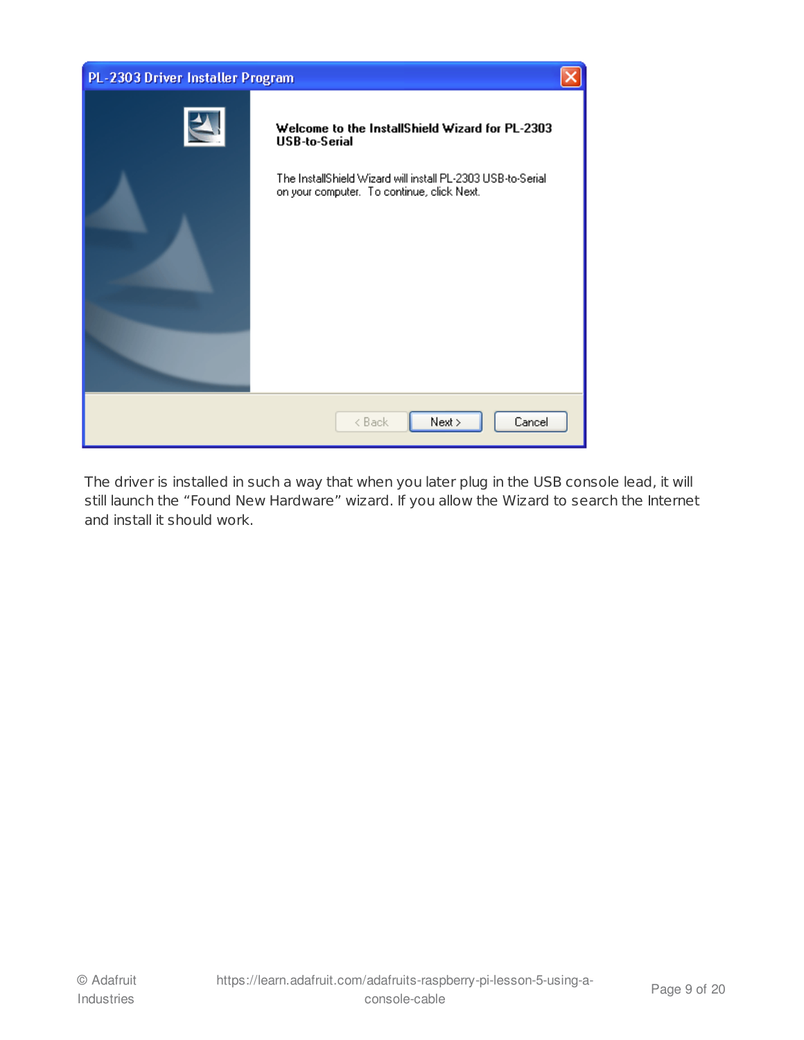| PL-2303 Driver Installer Program |                                                                                                           |  |
|----------------------------------|-----------------------------------------------------------------------------------------------------------|--|
| P                                | Welcome to the InstallShield Wizard for PL-2303<br><b>USB-to-Serial</b>                                   |  |
|                                  | The InstallShield Wizard will install PL-2303 USB-to-Serial<br>on your computer. To continue, click Next. |  |
| Next ><br>Cancel<br>< Back       |                                                                                                           |  |

The driver is installed in such a way that when you later plug in the USB console lead, it will still launch the "Found New Hardware" wizard. If you allow the Wizard to search the Internet and install it should work.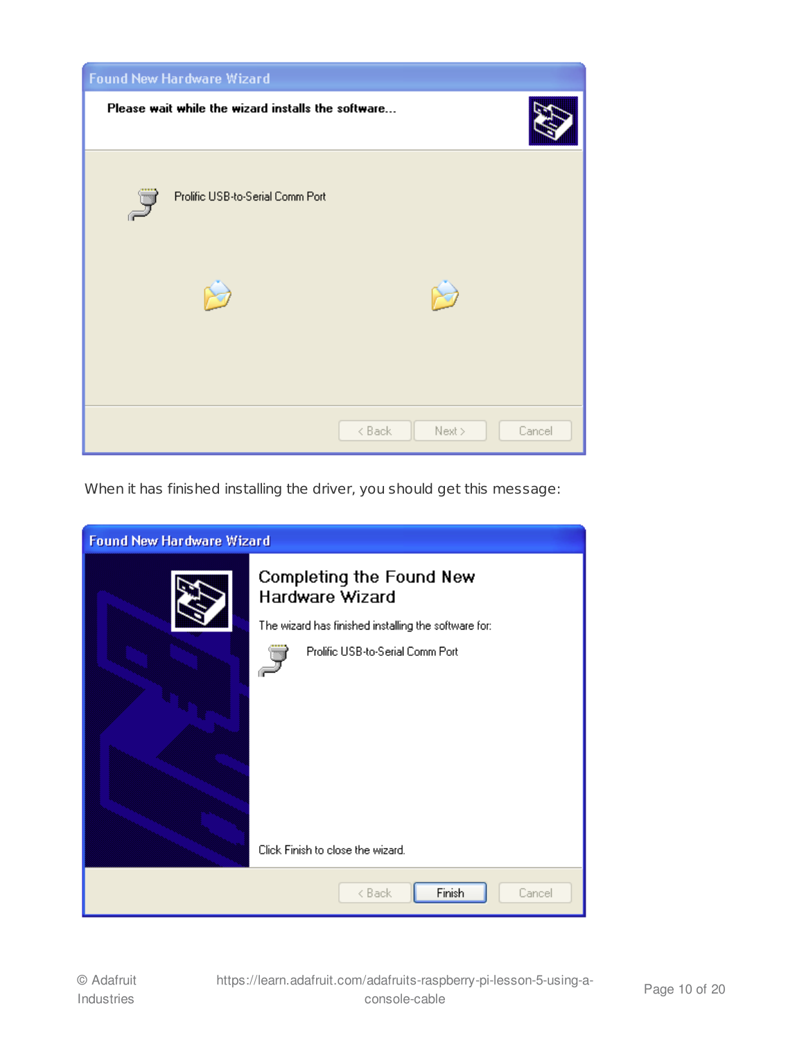

When it has finished installing the driver, you should get this message:

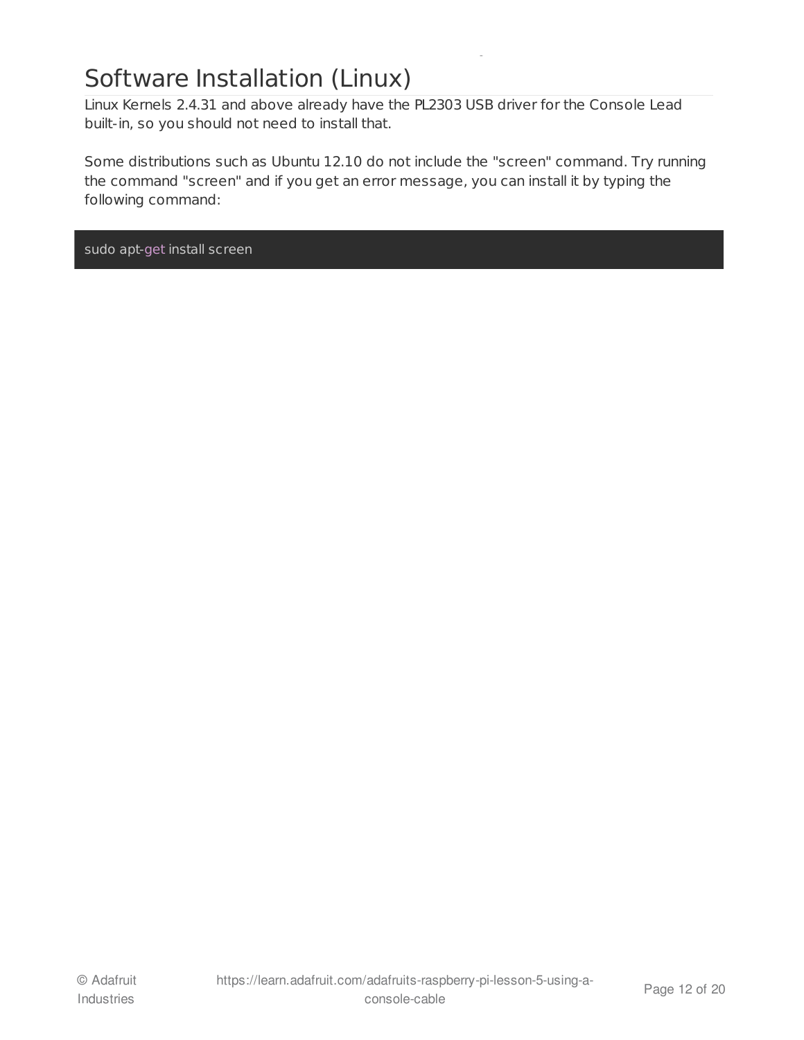# <span id="page-11-0"></span>Software Installation (Linux)

Linux Kernels 2.4.31 and above already have the PL2303 USB driver for the Console Lead built-in, so you should not need to install that.

Some distributions such as Ubuntu 12.10 do not include the "screen" command. Try running the command "screen" and if you get an error message, you can install it by typing the following command:

sudo apt-get install screen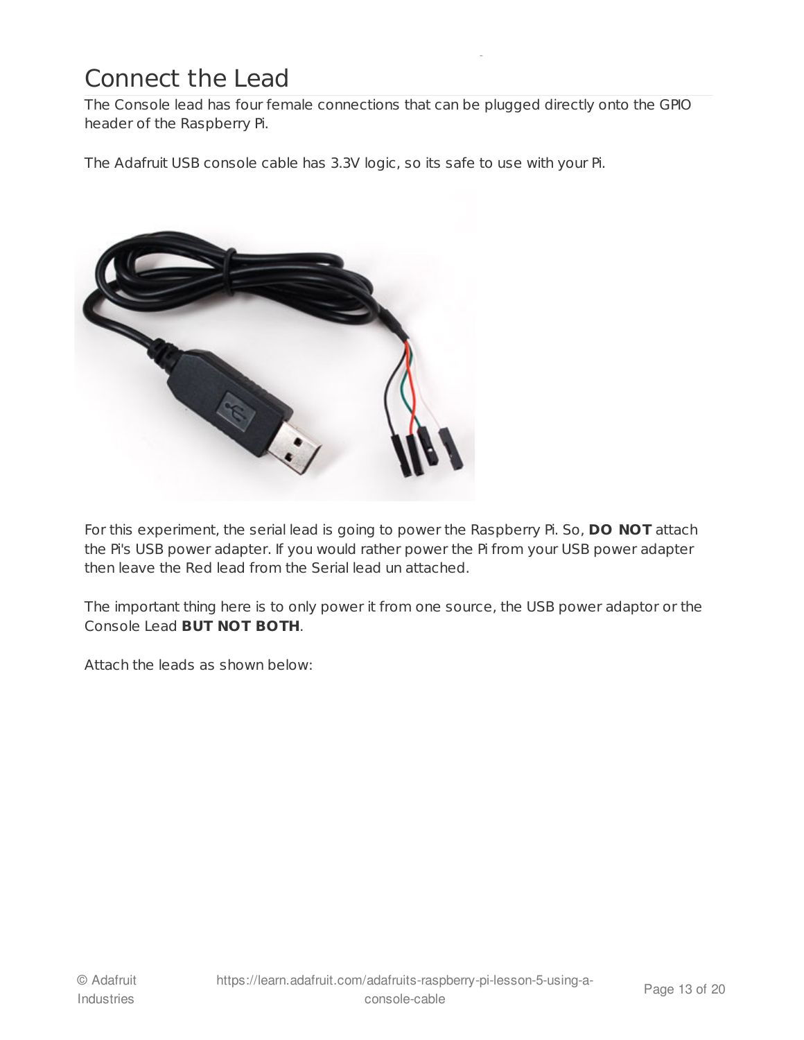### <span id="page-12-0"></span>Connect the Lead

The Console lead has four female connections that can be plugged directly onto the GPIO header of the Raspberry Pi.

The Adafruit USB console cable has 3.3V logic, so its safe to use with your Pi.



For this experiment, the serial lead is going to power the Raspberry Pi. So, **DO NOT** attach the Pi's USB power adapter. If you would rather power the Pi from your USB power adapter then leave the Red lead from the Serial lead un attached.

The important thing here is to only power it from one source, the USB power adaptor or the Console Lead **BUT NOT BOTH**.

Attach the leads as shown below: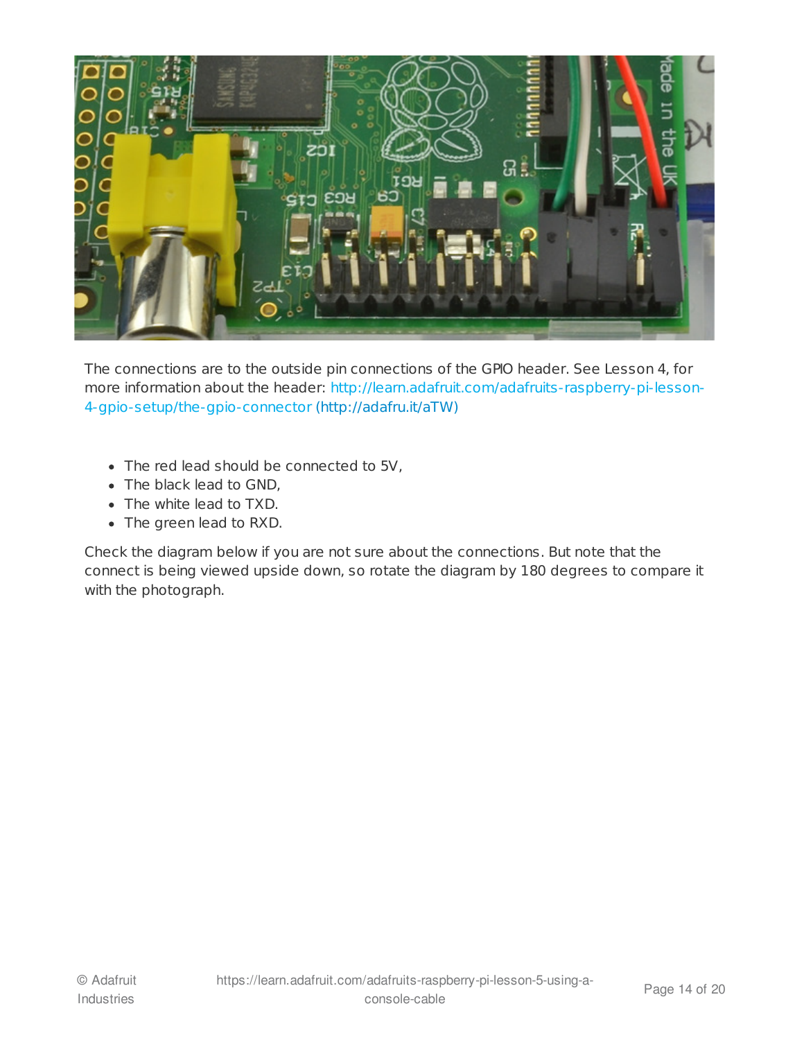

The connections are to the outside pin connections of the GPIO header. See Lesson 4, for more information about the header: [http://learn.adafruit.com/adafruits-raspberry-pi-lesson-](http://learn.adafruit.com/adafruits-raspberry-pi-lesson-4-gpio-setup/the-gpio-connector)4-gpio-setup/the-gpio-connector (http://adafru.it/aTW)

- The red lead should be connected to 5V,
- The black lead to GND,
- The white lead to TXD.
- The green lead to RXD.

Check the diagram below if you are not sure about the connections. But note that the connect is being viewed upside down, so rotate the diagram by 180 degrees to compare it with the photograph.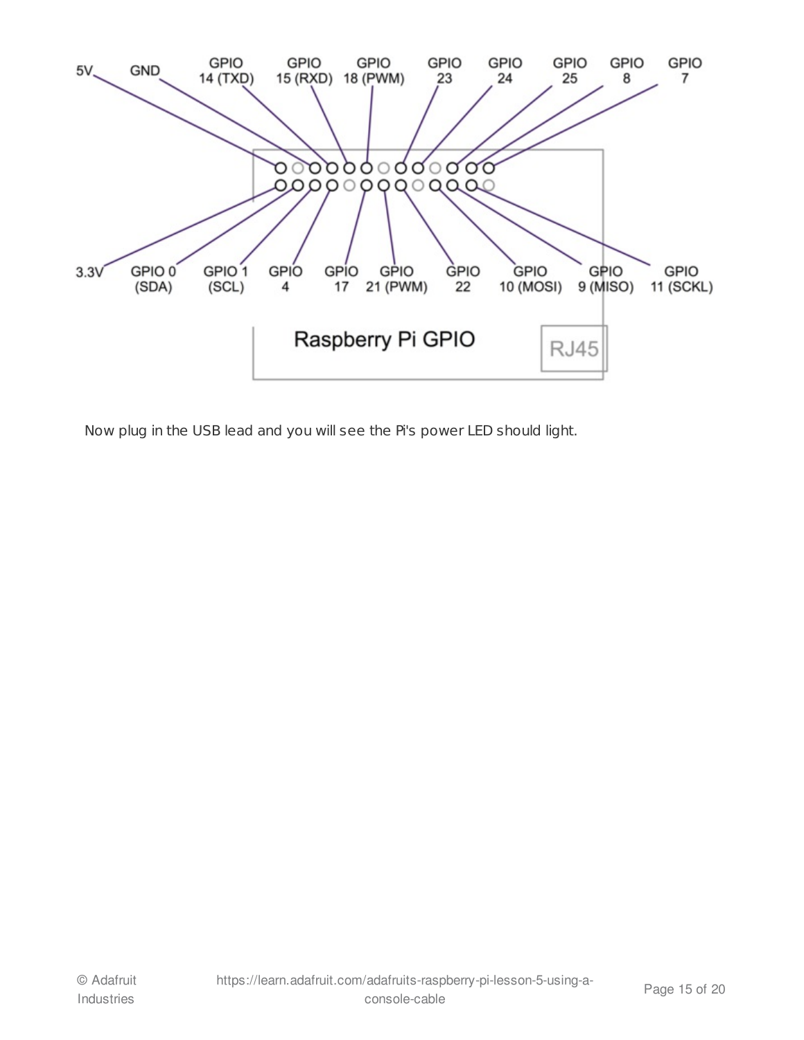

Now plug in the USB lead and you will see the Pi's power LED should light.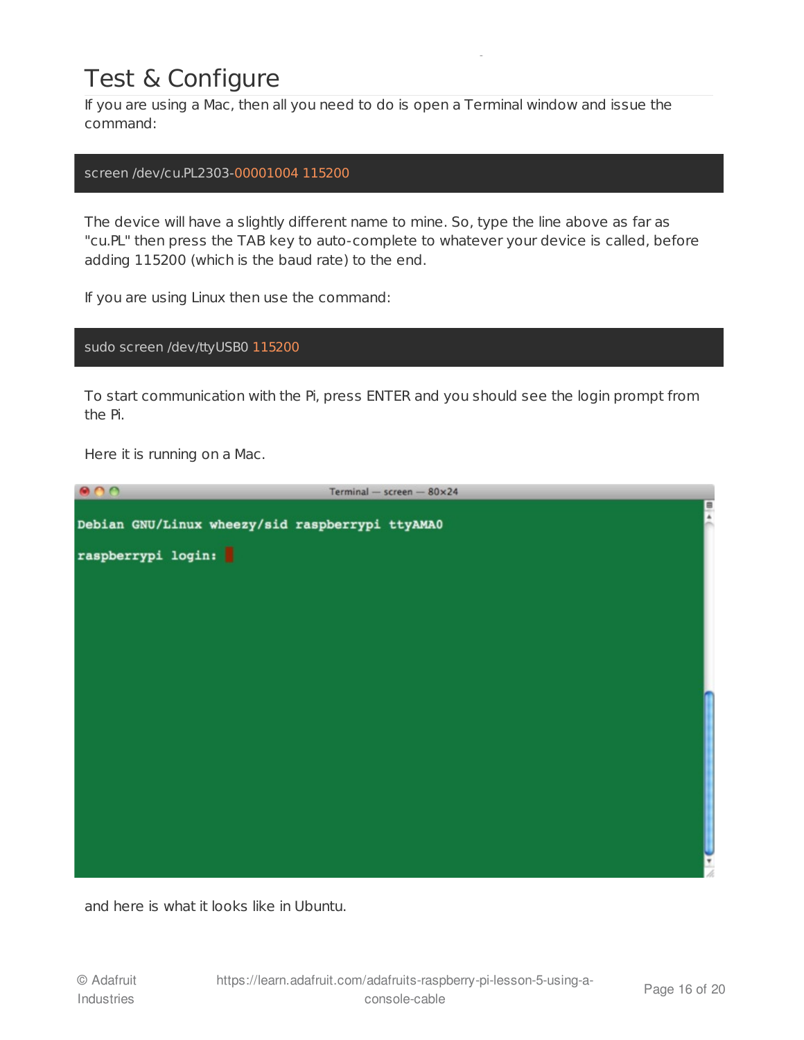### <span id="page-15-0"></span>Test & Configure

If you are using a Mac, then all you need to do is open a Terminal window and issue the command:

#### screen /dev/cu.PL2303-00001004 115200

The device will have a slightly different name to mine. So, type the line above as far as "cu.PL" then press the TAB key to auto-complete to whatever your device is called, before adding 115200 (which is the baud rate) to the end.

If you are using Linux then use the command:

#### sudo screen /dev/ttyUSB0 115200

To start communication with the Pi, press ENTER and you should see the login prompt from the Pi.

Here it is running on a Mac.



and here is what it looks like in Ubuntu.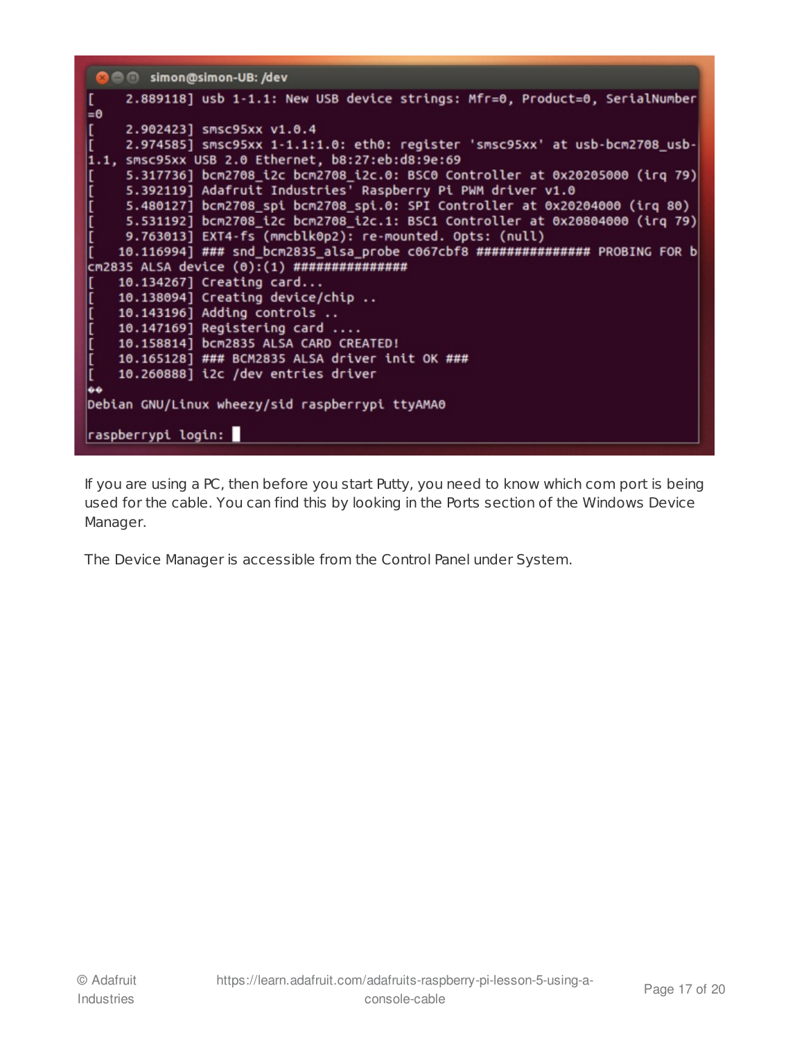

If you are using a PC, then before you start Putty, you need to know which com port is being used for the cable. You can find this by looking in the Ports section of the Windows Device Manager.

The Device Manager is accessible from the Control Panel under System.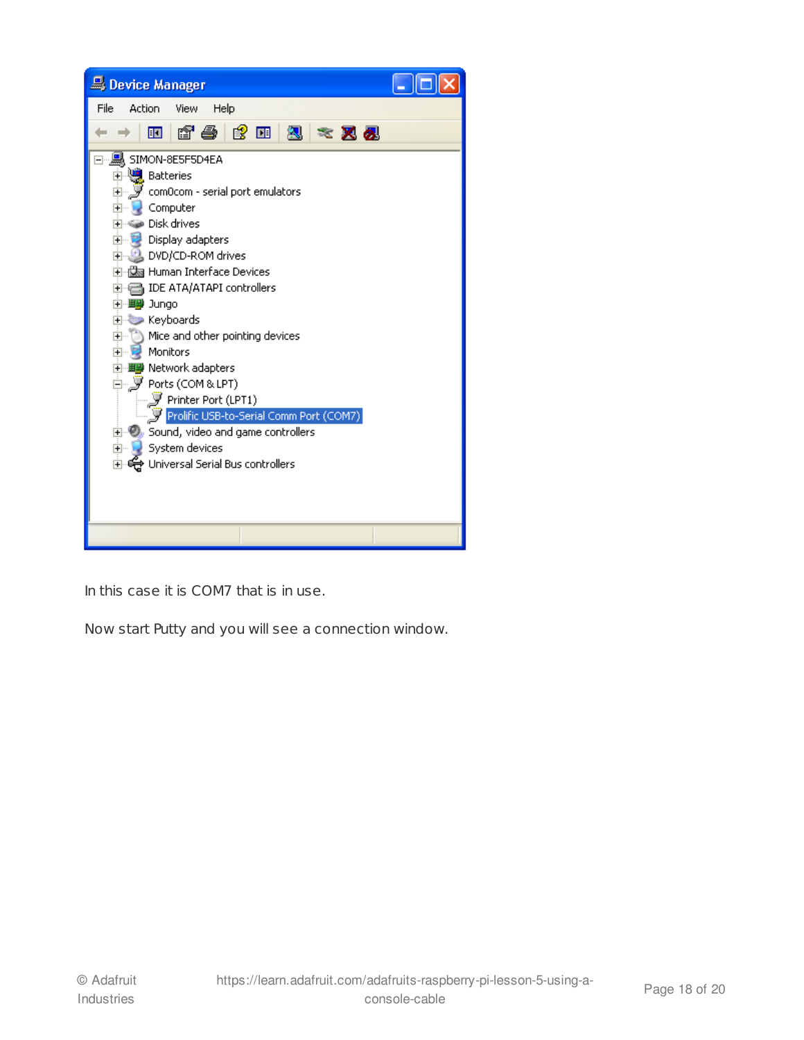

In this case it is COM7 that is in use.

Now start Putty and you will see a connection window.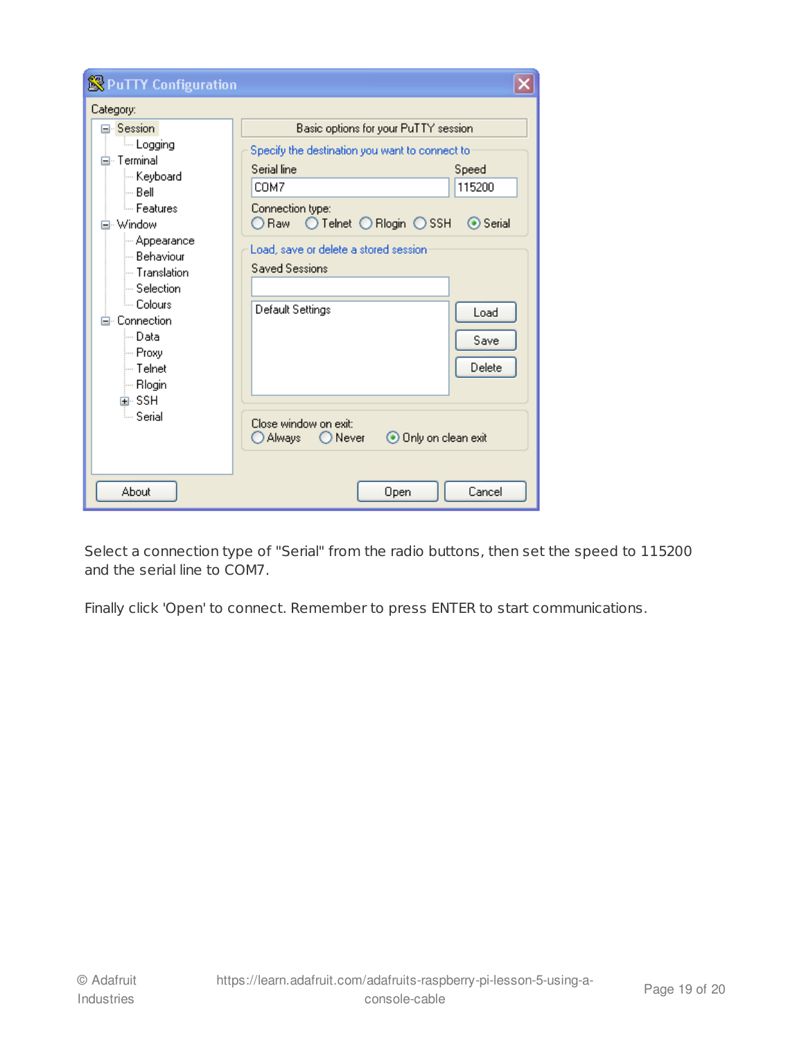| PuTTY Configuration                                                                                                                                                                                                                                                                                                    |                                                                                                                                                                                                                                                                                                                                                                                                                         |
|------------------------------------------------------------------------------------------------------------------------------------------------------------------------------------------------------------------------------------------------------------------------------------------------------------------------|-------------------------------------------------------------------------------------------------------------------------------------------------------------------------------------------------------------------------------------------------------------------------------------------------------------------------------------------------------------------------------------------------------------------------|
| Category:                                                                                                                                                                                                                                                                                                              |                                                                                                                                                                                                                                                                                                                                                                                                                         |
| ⊟∝Session.<br>ille Logging<br>⊟⊹ Terminal.<br>- Keyboard<br>i— Bell∶<br>— Features<br>⊟- Window<br>¦— Appearance<br><sup>i</sup> — Behaviour<br>$\mathrel{\mathop:}=$ Translation.<br>└─ Selection<br><sub>i</sub> … Colours<br>⊟- Connection.<br>l— Datal<br>l— Proxy<br>i— Telnet<br>— Rlogin<br>面- SSH<br>ं— Serial | Basic options for your PuTTY session<br>Specify the destination you want to connect to<br>Serial line<br>Speed<br>115200<br>COM7<br>Connection type:<br>$\bigcirc$ Telnet $\bigcirc$ Riogin $\bigcirc$ SSH<br>⊙ Serial<br>○ Raw<br>Load, save or delete a stored session<br><b>Saved Sessions</b><br>Default Settings<br>Load<br>Save<br>Delete<br>Close window on exit:<br>⊙ Only on clean exit<br>○ Always<br>◯ Never |
| About                                                                                                                                                                                                                                                                                                                  | Cancel<br>Open                                                                                                                                                                                                                                                                                                                                                                                                          |

Select a connection type of "Serial" from the radio buttons, then set the speed to 115200 and the serial line to COM7.

Finally click 'Open' to connect. Remember to press ENTER to start communications.